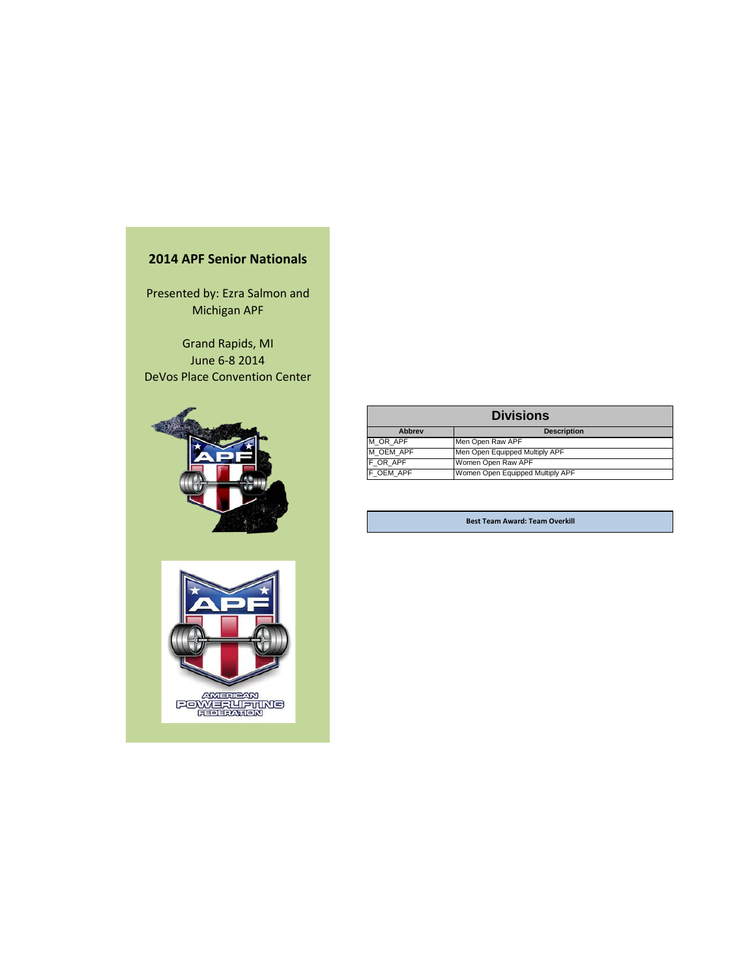## **2014 APF Senior Nationals**

Presented by: Ezra Salmon and Michigan APF

Grand Rapids, MI June 6-8 2014 DeVos Place Convention Center





|               | <b>Divisions</b>                 |
|---------------|----------------------------------|
| <b>Abbrev</b> | <b>Description</b>               |
| M OR APF      | Men Open Raw APF                 |
| M OEM APF     | Men Open Equipped Multiply APF   |
| F OR APF      | Women Open Raw APF               |
| F OEM APF     | Women Open Equipped Multiply APF |

**Best Team Award: Team Overkill**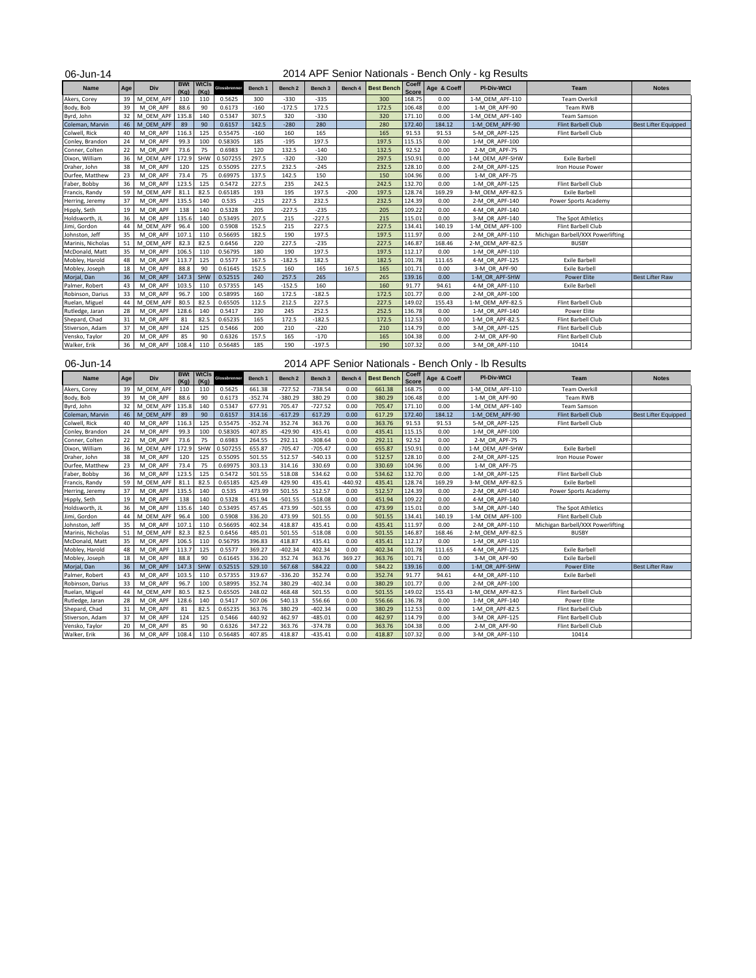| 06-Jun-14         |     |           |                    |                      |              |         |                    |                    |         |                   |                |             | 2014 APF Senior Nationals - Bench Only - kg Results |                                   |                             |
|-------------------|-----|-----------|--------------------|----------------------|--------------|---------|--------------------|--------------------|---------|-------------------|----------------|-------------|-----------------------------------------------------|-----------------------------------|-----------------------------|
| Name              | Age | Div       | <b>BWt</b><br>(Ka) | <b>WtCls</b><br>(Ka) | Glossbrenner | Bench 1 | Bench <sub>2</sub> | Bench <sub>3</sub> | Bench 4 | <b>Best Bench</b> | Coeff<br>Score | Age & Coeff | PI-Div-WtCl                                         | Team                              | <b>Notes</b>                |
| Akers, Corey      | 39  | M OEM APF | 110                | 110                  | 0.5625       | 300     | $-330$             | $-335$             |         | 300               | 168.75         | 0.00        | 1-M OEM APF-110                                     | <b>Team Overkill</b>              |                             |
| Body, Bob         | 39  | M OR APF  | 88.6               | 90                   | 0.6173       | $-160$  | $-172.5$           | 172.5              |         | 172.5             | 106.48         | 0.00        | 1-M OR APF-90                                       | Team RWB                          |                             |
| Byrd, John        | 32  | M OEM APF | 135.8              | 140                  | 0.5347       | 307.5   | 320                | $-330$             |         | 320               | 171.10         | 0.00        | 1-M OEM APF-140                                     | <b>Team Samson</b>                |                             |
| Coleman, Marvin   | 46  | M OEM APF | 89                 | 90                   | 0.6157       | 142.5   | $-280$             | 280                |         | 280               | 172.40         | 184.12      | 1-M OEM APF-90                                      | <b>Flint Barbell Club</b>         | <b>Best Lifter Equipped</b> |
| Colwell, Rick     | 40  | M OR APF  | 116.3              | 125                  | 0.55475      | $-160$  | 160                | 165                |         | 165               | 91.53          | 91.53       | 5-M OR APF-125                                      | Flint Barbell Club                |                             |
| Conley, Brandon   | 24  | M OR APF  | 99.3               | 100                  | 0.58305      | 185     | $-195$             | 197.5              |         | 197.5             | 115.15         | 0.00        | 1-M OR APF-100                                      |                                   |                             |
| Conner, Colten    | 22  | M OR APF  | 73.6               | 75                   | 0.6983       | 120     | 132.5              | $-140$             |         | 132.5             | 92.52          | 0.00        | 2-M OR APF-75                                       |                                   |                             |
| Dixon, William    | 36  | M OEM APF | 172.9              | SHW                  | 0.507255     | 297.5   | $-320$             | $-320$             |         | 297.5             | 150.91         | 0.00        | 1-M OEM APF-SHW                                     | <b>Exile Barbell</b>              |                             |
| Draher, John      | 38  | M OR APF  | 120                | 125                  | 0.55095      | 227.5   | 232.5              | $-245$             |         | 232.5             | 128.10         | 0.00        | 2-M OR APF-125                                      | Iron House Power                  |                             |
| Durfee, Matthew   | 23  | M OR APF  | 73.4               | 75                   | 0.69975      | 137.5   | 142.5              | 150                |         | 150               | 104.96         | 0.00        | 1-M OR APF-75                                       |                                   |                             |
| Faber, Bobby      | 36  | M OR APF  | 123.5              | 125                  | 0.5472       | 227.5   | 235                | 242.5              |         | 242.5             | 132.70         | 0.00        | 1-M OR APF-125                                      | Flint Barbell Club                |                             |
| Francis, Randy    | 59  | M OEM APF | 81.1               | 82.5                 | 0.65185      | 193     | 195                | 197.5              | $-200$  | 197.5             | 128.74         | 169.29      | 3-M OEM APF-82.5                                    | <b>Exile Barbell</b>              |                             |
| Herring, Jeremy   | 37  | M OR APF  | 135.5              | 140                  | 0.535        | $-215$  | 227.5              | 232.5              |         | 232.5             | 124.39         | 0.00        | 2-M OR APF-140                                      | Power Sports Academy              |                             |
| Hipply, Seth      | 19  | M OR APF  | 138                | 140                  | 0.5328       | 205     | $-227.5$           | $-235$             |         | 205               | 109.22         | 0.00        | 4-M OR APF-140                                      |                                   |                             |
| Holdsworth, JL    | 36  | M OR APF  | 135.6              | 140                  | 0.53495      | 207.5   | 215                | $-227.5$           |         | 215               | 115.01         | 0.00        | 3-M OR APF-140                                      | The Spot Athletics                |                             |
| Jimi, Gordon      | 44  | M OEM APF | 96.4               | 100                  | 0.5908       | 152.5   | 215                | 227.5              |         | 227.5             | 134.41         | 140.19      | 1-M OEM APF-100                                     | Flint Barbell Club                |                             |
| Johnston, Jeff    | 35  | M OR APF  | 107.1              | 110                  | 0.56695      | 182.5   | 190                | 197.5              |         | 197.5             | 111.97         | 0.00        | 2-M OR APF-110                                      | Michigan Barbell/XXX Powerlifting |                             |
| Marinis, Nicholas | 51  | M OEM APF | 82.3               | 82.5                 | 0.6456       | 220     | 227.5              | $-235$             |         | 227.5             | 146.87         | 168.46      | 2-M OEM APF-82.5                                    | <b>BUSBY</b>                      |                             |
| McDonald, Matt    | 35  | M OR APF  | 106.5              | 110                  | 0.56795      | 180     | 190                | 197.5              |         | 197.5             | 112.17         | 0.00        | 1-M OR APF-110                                      |                                   |                             |
| Mobley, Harold    | 48  | M OR APF  | 113.7              | 125                  | 0.5577       | 167.5   | $-182.5$           | 182.5              |         | 182.5             | 101.78         | 111.65      | 4-M OR APF-125                                      | <b>Exile Barbell</b>              |                             |
| Mobley, Joseph    | 18  | M OR APF  | 88.8               | 90                   | 0.61645      | 152.5   | 160                | 165                | 167.5   | 165               | 101.71         | 0.00        | 3-M OR APF-90                                       | <b>Exile Barbell</b>              |                             |
| Morjal, Dan       | 36  | M OR APF  | 147.3              | SHW                  | 0.52515      | 240     | 257.5              | 265                |         | 265               | 139.16         | 0.00        | 1-M OR APF-SHW                                      | <b>Power Elite</b>                | <b>Best Lifter Raw</b>      |
| Palmer, Robert    | 43  | M OR APF  | 103.5              | 110                  | 0.57355      | 145     | $-152.5$           | 160                |         | 160               | 91.77          | 94.61       | 4-M OR APF-110                                      | <b>Exile Barbell</b>              |                             |
| Robinson, Darius  | 33  | M OR APF  | 96.7               | 100                  | 0.58995      | 160     | 172.5              | $-182.5$           |         | 172.5             | 101.77         | 0.00        | 2-M OR APF-100                                      |                                   |                             |
| Ruelan, Miguel    | 44  | M OEM APF | 80.5               | 82.5                 | 0.65505      | 112.5   | 212.5              | 227.5              |         | 227.5             | 149.02         | 155.43      | 1-M OEM APF-82.5                                    | Flint Barbell Club                |                             |
| Rutledge, Jaran   | 28  | M OR APF  | 128.6              | 140                  | 0.5417       | 230     | 245                | 252.5              |         | 252.5             | 136.78         | 0.00        | 1-M OR APF-140                                      | Power Elite                       |                             |
| Shepard, Chad     | 31  | M OR APF  | 81                 | 82.5                 | 0.65235      | 165     | 172.5              | $-182.5$           |         | 172.5             | 112.53         | 0.00        | 1-M OR APF-82.5                                     | Flint Barbell Club                |                             |
| Stiverson, Adam   | 37  | M OR APF  | 124                | 125                  | 0.5466       | 200     | 210                | $-220$             |         | 210               | 114.79         | 0.00        | 3-M OR APF-125                                      | Flint Barbell Club                |                             |
| Vensko, Taylor    | 20  | M OR APF  | 85                 | 90                   | 0.6326       | 157.5   | 165                | $-170$             |         | 165               | 104.38         | 0.00        | 2-M OR APF-90                                       | Flint Barbell Club                |                             |
| Walker, Erik      | 36  | M OR APF  | 108.4              | 110                  | 0.56485      | 185     | 190                | $-197.5$           |         | 190               | 107.32         | 0.00        | 3-M OR APF-110                                      | 10414                             |                             |

|  | 2014 APF Senior Nationals - Bench Only - Ib Results |  |  |  |  |  |  |  |  |
|--|-----------------------------------------------------|--|--|--|--|--|--|--|--|
|--|-----------------------------------------------------|--|--|--|--|--|--|--|--|

| 06-Jun-14         |                 |           |                    |                      |              |           |           |           |           |                   |                       |             | 2014 APF Senior Nationals - Bench Only - Ib Results |                                   |                             |
|-------------------|-----------------|-----------|--------------------|----------------------|--------------|-----------|-----------|-----------|-----------|-------------------|-----------------------|-------------|-----------------------------------------------------|-----------------------------------|-----------------------------|
| Name              | Age             | Div       | <b>BWt</b><br>(Ka) | <b>WtCls</b><br>(Ka) | Glossbrenner | Bench 1   | Bench 2   | Bench 3   | Bench 4   | <b>Best Bench</b> | Coeff<br><b>Score</b> | Age & Coeff | PI-Div-WtCl                                         | Team                              | <b>Notes</b>                |
| Akers, Corey      | 39              | M OEM APF | 110                | 110                  | 0.5625       | 661.38    | $-727.52$ | $-738.54$ | 0.00      | 661.38            | 168.75                | 0.00        | 1-M OEM APF-110                                     | <b>Team Overkill</b>              |                             |
| Body, Bob         | 39              | M OR APF  | 88.6               | 90                   | 0.6173       | $-352.74$ | $-380.29$ | 380.29    | 0.00      | 380.29            | 106.48                | 0.00        | 1-M OR APF-90                                       | Team RWB                          |                             |
| Byrd, John        | 32              | M OEM APF | 135.8              | 140                  | 0.5347       | 677.91    | 705.47    | $-727.52$ | 0.00      | 705.47            | 171.10                | 0.00        | 1-M OEM APF-140                                     | <b>Team Samson</b>                |                             |
| Coleman, Marvin   | 46              | M OEM APF | 89                 | 90                   | 0.6157       | 314.16    | $-617.29$ | 617.29    | 0.00      | 617.29            | 172.40                | 184.12      | 1-M OEM APF-90                                      | Flint Barbell Club                | <b>Best Lifter Equipped</b> |
| Colwell, Rick     | 40              | M OR APF  | 116.3              | 125                  | 0.55475      | $-352.74$ | 352.74    | 363.76    | 0.00      | 363.76            | 91.53                 | 91.53       | 5-M_OR_APF-125                                      | Flint Barbell Club                |                             |
| Conley, Brandon   | 24              | M OR APF  | 99.3               | 100                  | 0.58305      | 407.85    | $-429.90$ | 435.41    | 0.00      | 435.41            | 115.15                | 0.00        | 1-M OR APF-100                                      |                                   |                             |
| Conner, Colten    | 22              | M OR APF  | 73.6               | 75                   | 0.6983       | 264.55    | 292.11    | $-308.64$ | 0.00      | 292.11            | 92.52                 | 0.00        | 2-M OR APF-75                                       |                                   |                             |
| Dixon, William    | 36              | M OEM APF | 172.9              | SHW                  | 0.507255     | 655.87    | $-705.47$ | $-705.47$ | 0.00      | 655.87            | 150.91                | 0.00        | 1-M OEM APF-SHW                                     | <b>Exile Barbell</b>              |                             |
| Draher, John      | 38              | M OR APF  | 120                | 125                  | 0.55095      | 501.55    | 512.57    | $-540.13$ | 0.00      | 512.57            | 128.10                | 0.00        | 2-M OR APF-125                                      | Iron House Power                  |                             |
| Durfee, Matthew   | 23              | M OR APF  | 73.4               | 75                   | 0.69975      | 303.13    | 314.16    | 330.69    | 0.00      | 330.69            | 104.96                | 0.00        | 1-M OR APF-75                                       |                                   |                             |
| Faber, Bobby      | 36              | M OR APF  | 123.5              | 125                  | 0.5472       | 501.55    | 518.08    | 534.62    | 0.00      | 534.62            | 132.70                | 0.00        | 1-M OR APF-125                                      | Flint Barbell Club                |                             |
| Francis, Randy    | 59              | M OEM APF | 81.1               | 82.5                 | 0.65185      | 425.49    | 429.90    | 435.41    | $-440.92$ | 435.41            | 128.74                | 169.29      | 3-M OEM APF-82.5                                    | <b>Exile Barbell</b>              |                             |
| Herring, Jeremy   | 37              | M OR APF  | 135.5              | 140                  | 0.535        | $-473.99$ | 501.55    | 512.57    | 0.00      | 512.57            | 124.39                | 0.00        | 2-M_OR_APF-140                                      | Power Sports Academy              |                             |
| Hipply, Seth      | 19              | M OR APF  | 138                | 140                  | 0.5328       | 451.94    | $-501.55$ | $-518.08$ | 0.00      | 451.94            | 109.22                | 0.00        | 4-M OR APF-140                                      |                                   |                             |
| Holdsworth, JL    | 36              | M OR APF  | 135.6              | 140                  | 0.53495      | 457.45    | 473.99    | $-501.55$ | 0.00      | 473.99            | 115.01                | 0.00        | 3-M OR APF-140                                      | The Spot Athletics                |                             |
| Jimi, Gordon      | 44              | M OEM APF | 96.4               | 100                  | 0.5908       | 336.20    | 473.99    | 501.55    | 0.00      | 501.55            | 134.41                | 140.19      | 1-M OEM APF-100                                     | Flint Barbell Club                |                             |
| Johnston, Jeff    | 35              | M OR APF  | 107.1              | 110                  | 0.56695      | 402.34    | 418.87    | 435.41    | 0.00      | 435.41            | 111.97                | 0.00        | 2-M OR APF-110                                      | Michigan Barbell/XXX Powerlifting |                             |
| Marinis, Nicholas | 51              | M OEM APF | 82.3               | 82.5                 | 0.6456       | 485.01    | 501.55    | $-518.08$ | 0.00      | 501.55            | 146.87                | 168.46      | 2-M OEM APF-82.5                                    | <b>BUSBY</b>                      |                             |
| McDonald, Matt    | 35              | M OR APF  | 106.5              | 110                  | 0.56795      | 396.83    | 418.87    | 435.41    | 0.00      | 435.41            | 112.17                | 0.00        | 1-M_OR_APF-110                                      |                                   |                             |
| Mobley, Harold    | 48              | M OR APF  | 113.7              | 125                  | 0.5577       | 369.27    | $-402.34$ | 402.34    | 0.00      | 402.34            | 101.78                | 111.65      | 4-M OR APF-125                                      | <b>Exile Barbell</b>              |                             |
| Mobley, Joseph    | 18              | M OR APF  | 88.8               | 90                   | 0.61645      | 336.20    | 352.74    | 363.76    | 369.27    | 363.76            | 101.71                | 0.00        | 3-M OR APF-90                                       | <b>Exile Barbell</b>              |                             |
| Morjal, Dan       | 36              | M OR APF  | 147.3              | SHW                  | 0.52515      | 529.10    | 567.68    | 584.22    | 0.00      | 584.22            | 139.16                | 0.00        | 1-M OR APF-SHW                                      | <b>Power Elite</b>                | <b>Best Lifter Raw</b>      |
| Palmer, Robert    | 43              | M OR APF  | 103.5              | 110                  | 0.57355      | 319.67    | $-336.20$ | 352.74    | 0.00      | 352.74            | 91.77                 | 94.61       | 4-M OR APF-110                                      | <b>Exile Barbell</b>              |                             |
| Robinson, Darius  | 33              | M OR APF  | 96.7               | 100                  | 0.58995      | 352.74    | 380.29    | $-402.34$ | 0.00      | 380.29            | 101.77                | 0.00        | 2-M OR APF-100                                      |                                   |                             |
| Ruelan, Miguel    | 44              | M OEM APF | 80.5               | 82.5                 | 0.65505      | 248.02    | 468.48    | 501.55    | 0.00      | 501.55            | 149.02                | 155.43      | 1-M OEM APF-82.5                                    | Flint Barbell Club                |                             |
| Rutledge, Jaran   | 28              | M OR APF  | 128.6              | 140                  | 0.5417       | 507.06    | 540.13    | 556.66    | 0.00      | 556.66            | 136.78                | 0.00        | 1-M_OR_APF-140                                      | Power Elite                       |                             |
| Shepard, Chad     | 31              | M OR APF  | 81                 | 82.5                 | 0.65235      | 363.76    | 380.29    | $-402.34$ | 0.00      | 380.29            | 112.53                | 0.00        | 1-M OR APF-82.5                                     | Flint Barbell Club                |                             |
| Stiverson, Adam   | 37              | M OR APF  | 124                | 125                  | 0.5466       | 440.92    | 462.97    | $-485.01$ | 0.00      | 462.97            | 114.79                | 0.00        | 3-M OR APF-125                                      | Flint Barbell Club                |                             |
| Vensko, Taylor    | 20              | M OR APF  | 85                 | 90                   | 0.6326       | 347.22    | 363.76    | $-374.78$ | 0.00      | 363.76            | 104.38                | 0.00        | 2-M OR APF-90                                       | Flint Barbell Club                |                             |
| Walker, Erik      | 36 <sup>1</sup> | M OR APF  | 108.4              | 110                  | 0.56485      | 407.85    | 418.87    | $-435.41$ | 0.00      | 418.87            | 107.32                | 0.00        | 3-M OR APF-110                                      | 10414                             |                             |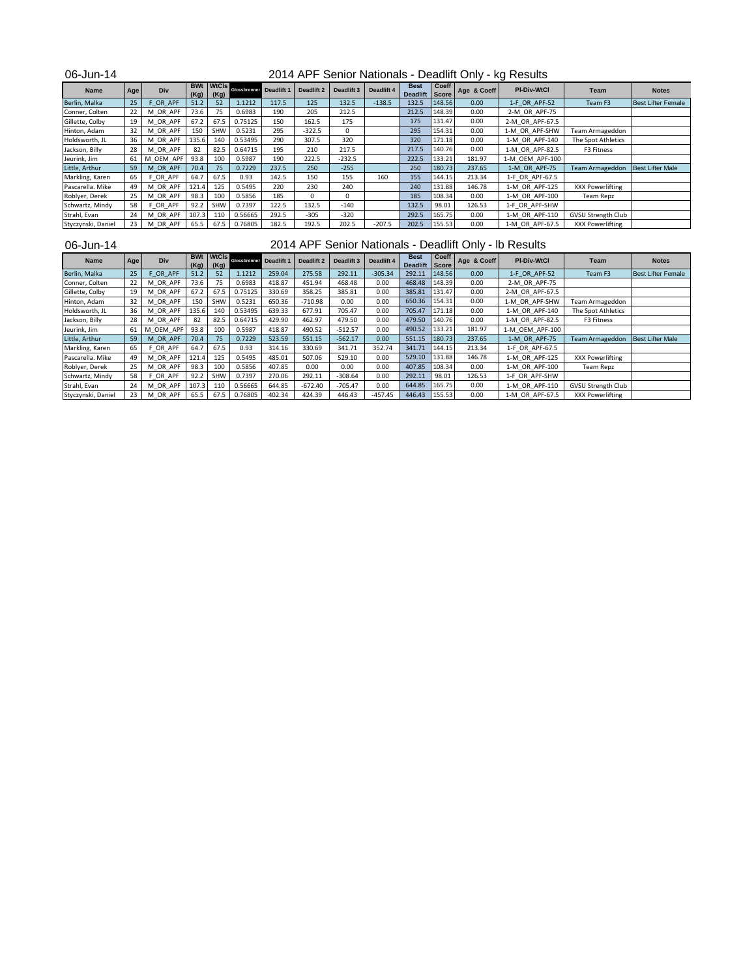| 06-Jun-14          |     |              |                    |                      |                                |       |                       |            |            |                                |                |             | 2014 APF Senior Nationals - Deadlift Only - kg Results |                           |                           |
|--------------------|-----|--------------|--------------------|----------------------|--------------------------------|-------|-----------------------|------------|------------|--------------------------------|----------------|-------------|--------------------------------------------------------|---------------------------|---------------------------|
| Name               | Age | Div          | <b>BWt</b><br>(Kg) | <b>WtCls</b><br>(Kg) | <b>Glossbrenner</b> Deadlift 1 |       | Deadlift <sub>2</sub> | Deadlift 3 | Deadlift 4 | <b>Best</b><br><b>Deadlift</b> | Coeff<br>Score | Age & Coeff | <b>PI-Div-WtCl</b>                                     | Team                      | <b>Notes</b>              |
| Berlin, Malka      | 25  | OR APF       | 51.2               | 52                   | 1.1212                         | 117.5 | 125                   | 132.5      | $-138.5$   | 132.5                          | 148.56         | 0.00        | 1-F OR APF-52                                          | Team F3                   | <b>Best Lifter Female</b> |
| Conner, Colten     | 22  | OR APF<br>м  | 73.6               | 75                   | 0.6983                         | 190   | 205                   | 212.5      |            | 212.5                          | 148.39         | 0.00        | 2-M OR APF-75                                          |                           |                           |
| Gillette, Colby    | 19  | M OR APF     | 67.2               | 67.5                 | 0.75125                        | 150   | 162.5                 | 175        |            | 175                            | 131.47         | 0.00        | 2-M OR APF-67.5                                        |                           |                           |
| Hinton, Adam       | 32  | M OR APF     | 150                | <b>SHW</b>           | 0.5231                         | 295   | $-322.5$              | $\Omega$   |            | 295                            | 154.31         | 0.00        | 1-M OR APF-SHW                                         | Team Armageddon           |                           |
| Holdsworth, JL     | 36  | M OR APF     | 135.6              | 140                  | 0.53495                        | 290   | 307.5                 | 320        |            | 320                            | 171.18         | 0.00        | 1-M OR APF-140                                         | The Spot Athletics        |                           |
| Jackson, Billy     | 28  | M OR APF     | 82                 | 82.5                 | 0.64715                        | 195   | 210                   | 217.5      |            | 217.5                          | 140.76         | 0.00        | 1-M OR APF-82.5                                        | F3 Fitness                |                           |
| Jeurink, Jim       | 61  | OEM APF<br>M | 93.8               | 100                  | 0.5987                         | 190   | 222.5                 | $-232.5$   |            | 222.5                          | 133.21         | 181.97      | 1-M OEM APF-100                                        |                           |                           |
| Little, Arthur     | 59  | OR APF<br>м  | 70.4               | 75                   | 0.7229                         | 237.5 | 250                   | $-255$     |            | 250                            | 180.73         | 237.65      | 1-M OR APF-75                                          | Team Armageddon           | <b>Best Lifter Male</b>   |
| Markling, Karen    | 65  | F OR APF     | 64.7               | 67.5                 | 0.93                           | 142.5 | 150                   | 155        | 160        | 155                            | 144.15         | 213.34      | 1-F OR APF-67.5                                        |                           |                           |
| Pascarella. Mike   | 49  | M OR APF     | 121.4              | 125                  | 0.5495                         | 220   | 230                   | 240        |            | 240                            | 131.88         | 146.78      | 1-M OR APF-125                                         | XXX Powerlifting          |                           |
| Roblyer, Derek     | 25  | M OR APF     | 98.3               | 100                  | 0.5856                         | 185   | $\mathbf{0}$          | $\Omega$   |            | 185                            | 108.34         | 0.00        | 1-M OR APF-100                                         | Team Repz                 |                           |
| Schwartz, Mindy    | 58  | F OR APF     | 92.2               | SHW                  | 0.7397                         | 122.5 | 132.5                 | $-140$     |            | 132.5                          | 98.01          | 126.53      | 1-F OR APF-SHW                                         |                           |                           |
| Strahl, Evan       | 24  | M OR APF     | 107.3              | 110                  | 0.56665                        | 292.5 | $-305$                | $-320$     |            | 292.5                          | 165.75         | 0.00        | 1-M OR APF-110                                         | <b>GVSU Strength Club</b> |                           |
| Styczynski, Daniel | 23  | M OR APF     | 65.5               | 67.5                 | 0.76805                        | 182.5 | 192.5                 | 202.5      | $-207.5$   | 202.5                          | 155.53         | 0.00        | 1-M OR APF-67.5                                        | XXX Powerlifting          |                           |

| 06-Jun-14          |     |             |       |                          |                         |        |            |            |            |                               |        |             | 2014 APF Senior Nationals - Deadlift Only - Ib Results |                           |                           |
|--------------------|-----|-------------|-------|--------------------------|-------------------------|--------|------------|------------|------------|-------------------------------|--------|-------------|--------------------------------------------------------|---------------------------|---------------------------|
| <b>Name</b>        | Age | Div         | (Kg)  | <b>BWt WtCls</b><br>(Kg) | Glossbrenner Deadlift 1 |        | Deadlift 2 | Deadlift 3 | Deadlift 4 | <b>Best</b><br>Deadlift Score | Coeff  | Age & Coeff | <b>PI-Div-WtCl</b>                                     | Team                      | <b>Notes</b>              |
| Berlin, Malka      | 25  | F OR APF    | 51.2  | 52                       | 1.1212                  | 259.04 | 275.58     | 292.11     | $-305.34$  | 292.11                        | 148.56 | 0.00        | 1-F OR APF-52                                          | Team F3                   | <b>Best Lifter Female</b> |
| Conner, Colten     | 22  | M OR APF    | 73.6  | 75                       | 0.6983                  | 418.87 | 451.94     | 468.48     | 0.00       | 468.48                        | 148.39 | 0.00        | 2-M OR APF-75                                          |                           |                           |
| Gillette, Colby    | 19  | M OR APF    | 67.2  | 67.5                     | 0.75125                 | 330.69 | 358.25     | 385.81     | 0.00       | 385.81                        | 131.47 | 0.00        | 2-M OR APF-67.5                                        |                           |                           |
| Hinton, Adam       | 32  | OR APF<br>м | 150   | SHW                      | 0.5231                  | 650.36 | $-710.98$  | 0.00       | 0.00       | 650.36                        | 154.31 | 0.00        | 1-M OR APF-SHW                                         | Team Armageddon           |                           |
| Holdsworth, JL     | 36  | M OR APF    | 135.6 | 140                      | 0.53495                 | 639.33 | 677.91     | 705.47     | 0.00       | 705.47                        | 171.18 | 0.00        | 1-M OR APF-140                                         | The Spot Athletics        |                           |
| Jackson, Billy     | 28  | M OR APF    | 82    | 82.5                     | 0.64715                 | 429.90 | 462.97     | 479.50     | 0.00       | 479.50                        | 140.76 | 0.00        | 1-M OR APF-82.5                                        | F3 Fitness                |                           |
| Jeurink, Jim       | 61  | M OEM APF   | 93.8  | 100                      | 0.5987                  | 418.87 | 490.52     | $-512.57$  | 0.00       | 490.52                        | 133.21 | 181.97      | 1-M OEM APF-100                                        |                           |                           |
| Little, Arthur     | 59  | M OR APF    | 70.4  | 75                       | 0.7229                  | 523.59 | 551.15     | $-562.17$  | 0.00       | 551.15                        | 180.73 | 237.65      | 1-M OR APF-75                                          | <b>Team Armageddon</b>    | <b>Best Lifter Male</b>   |
| Markling, Karen    | 65  | F OR APF    | 64.7  | 67.5                     | 0.93                    | 314.16 | 330.69     | 341.71     | 352.74     | 341.71                        | 144.15 | 213.34      | 1-F OR APF-67.5                                        |                           |                           |
| Pascarella. Mike   | 49  | M OR APF    | 121.4 | 125                      | 0.5495                  | 485.01 | 507.06     | 529.10     | 0.00       | 529.10                        | 131.88 | 146.78      | 1-M OR APF-125                                         | XXX Powerlifting          |                           |
| Roblyer, Derek     | 25  | M OR APF    | 98.3  | 100                      | 0.5856                  | 407.85 | 0.00       | 0.00       | 0.00       | 407.85                        | 108.34 | 0.00        | 1-M OR APF-100                                         | Team Repz                 |                           |
| Schwartz, Mindy    | 58  | F OR APF    | 92.2  | SHW                      | 0.7397                  | 270.06 | 292.11     | $-308.64$  | 0.00       | 292.11                        | 98.01  | 126.53      | 1-F OR APF-SHW                                         |                           |                           |
| Strahl, Evan       | 24  | M OR APF    | 107.3 | 110                      | 0.56665                 | 644.85 | $-672.40$  | $-705.47$  | 0.00       | 644.85                        | 165.75 | 0.00        | 1-M OR APF-110                                         | <b>GVSU Strength Club</b> |                           |
| Styczynski, Daniel | 23  | M OR APF    | 65.5  | 67.5                     | 0.76805                 | 402.34 | 424.39     | 446.43     | $-457.45$  | 446.43                        | 155.53 | 0.00        | 1-M OR APF-67.5                                        | XXX Powerlifting          |                           |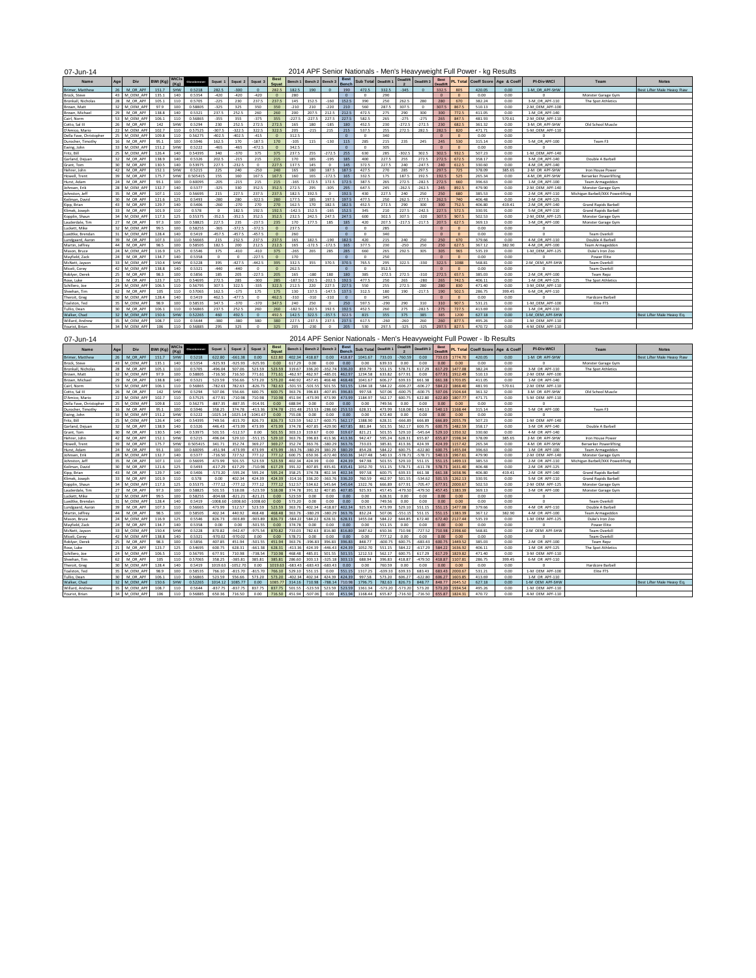| ٠ |
|---|
|---|

## 2014 APF Senior Nationals - Men's Heavyweight Full Power - kg Results

| Name                    | Age             | Div       | <b>BWt (Kg)</b> | WtCls<br>(K <sub>0</sub> ) | Clossbrenner | Squat 1  | Squat 2  | Squat 3      | <b>Best</b><br>Squat | Bench 1  | Bench 2 Bench: |          | <b>Best</b><br><b>Bench</b> | Sub Total  | Deadlift 1 | Deadlift | Deadlift 3 | <b>Best</b><br>Deadli |          |        | PL Total Coeff Score Age & Coeff | <b>PI-Div-WtCl</b> | Team                              | <b>Notes</b>               |
|-------------------------|-----------------|-----------|-----------------|----------------------------|--------------|----------|----------|--------------|----------------------|----------|----------------|----------|-----------------------------|------------|------------|----------|------------|-----------------------|----------|--------|----------------------------------|--------------------|-----------------------------------|----------------------------|
| Brimer, Matthew         | 26              | M OR APF  | 151.7           | SHW                        | 0.5218       | 282.5    | $-300$   | $\mathbf{0}$ | 282.5                | 182.5    | 190            | $\Omega$ | 190                         | 472.5      | 332.5      | $-345$   | $\Omega$   | 332.5                 | 805      | 420.05 | 0.00                             | 1-M OR APF-SHW     |                                   | Best Lifter Male Heavy Raw |
| Brock, Steve            | 43              | M OEM AP  | 135.1           | 140                        | 0.5354       | $-420$   | $-420$   | $-420$       | $\Omega$             | 280      |                |          | $\Omega$                    |            | 290        |          |            | $\Omega$              |          | 0.00   | 0.00                             |                    | Monster Garage Gym                |                            |
| Bronkall, Nicholas      | 28              | M OR APF  | 105.1           | 110                        | 0.5705       | $-225$   | 230      | 237.5        | 237.5                | 145      | 152.5          | $-160$   | 152.5                       | 390        | 250        | 262.5    | 280        | 280                   | 670      | 382.24 | 0.00                             | 3-M OR APF-110     | The Spot Athletics                |                            |
| Brown, Matt             | 32              | M OEM AP  | 97.9            | 100                        | 0.58805      | $-325$   | 325      | 350          | 350                  | $-210$   | 210            | $-220$   | 210                         | 560        | 287.5      | 307.5    | $\Omega$   | 307.5                 | 867.5    | 510.13 | 0.00                             | 2-M OEM APF-100    |                                   |                            |
| Brown, Michael          | 29              | M OR APF  | 138.8           | 140                        | 0.5321       | 237.5    | 252.5    | 260          | 260                  | 200      | 207.5          | 212.5    | 212.5                       | 472.5      | 275        | 290      | 300        | 300                   | 772.5    | 411.05 | 0.00                             | 1-M OR APF-140     |                                   |                            |
| Cairl, Norm             | 53              | M OEM AP  | 106.1           | 110                        | 0.56865      | $-355$   | 355      | $-375$       | 355                  | $-227.5$ | $-227.5$       | 227.5    | 227.5                       | 582.5      | 265        | $-275$   | $-275$     | 265                   | 8475     | 481.93 | 570.61                           | 2-M OEM APF-110    |                                   |                            |
| Cotto, Sal III          | 26              | M OR APF  | 142             | SHW                        | 0.5294       | 230      | 252.5    | 272.5        | 272.5                | 165      | 180            | $-185$   | 180                         | 452.5      | 230        | $-272.5$ | $-272.5$   | 230                   | 682.5    | 361.32 | 0.00                             | 3-M OR APF-SHW     | Old School Muscle                 |                            |
| D'Amico, Mario          | 22              | M OEM AP  | 102.7           | 110                        | 0.57525      | $-307.5$ | $-322.5$ | 322.5        | 322.5                | 205      | $-215$         | 215      | 215                         | 537.5      | 255        | 272.5    | 282.5      | 282.5                 | 820      | 471.71 | 0.00                             | 5-M OEM APF-110    |                                   |                            |
| Della Fave, Christopher | 25              | M OEM AP  | 109.8           | 110                        | 0.56275      | $-402.5$ | $-402.5$ | $-415$       | $\theta$             | 312.5    |                |          | $\sqrt{2}$                  | $\circ$    | 340        |          |            | $\Omega$              | $\Omega$ | 0.00   | 0.00                             | $\Omega$           |                                   |                            |
| Durocher, Timothy       | 16              | M OR APF  | 95.1            | 100                        | 0.5946       | 162.5    | 170      | $-187.5$     | 170                  | $-105$   | 115            | $-130$   | 115                         | 285        | 215        | 235      | 245        | 245                   | 530      | 315.14 | 0.00                             | 5-M OR APF-100     | Team F3                           |                            |
| Ewing, John             | 33              | M OEM AP  | 151.2           | SHW                        | 0.5222       | $-465$   | $-465$   | $-472.5$     | $\theta$             | 342.5    |                |          | $\sqrt{2}$                  | $^{\circ}$ | 305        |          |            | $\Omega$              | $\Omega$ | 0.00   | 0.00                             | $\Omega$           |                                   |                            |
| Fritz, Bill             | 25              | M OEM AF  | 126.4           | 140                        | 0.54395      | 340      | $-370$   | 375          | 375                  | 237.5    | 255            | $-272.5$ | 255                         | 630        | 285        | $-302.5$ | 302.5      | 302.5                 | 932.5    | 507.23 | 0.00                             | 1-M OEM APF-140    |                                   |                            |
| Garland, Deiuar         | 32              | M OR APF  | 138.9           | 140                        | 0.5326       | 202.5    | $-215$   | 215          | 215                  | 170      | 185            | $-195$   | 185                         | 400        | 227.5      | 255      | 272.5      | 272.5                 | 672.5    | 358.17 | 0.00                             | 3-M OR APF-140     | Double A Barbell                  |                            |
| Grant, Tom              | 30              | M OR APF  | 130.5           | 140                        | 0.53975      | 227.5    | $-232.5$ | $\Omega$     | 227.5                | 137.5    | 145            | $\Omega$ | 145                         | 372.5      | 227.5      | 240      | $-247.5$   | 240                   | 612.5    | 330.60 | 0.00                             | 4-M OR APF-140     |                                   |                            |
| Hehrer, John            | 42              | M OR APF  | 152.1           | SHW                        | 0.5215       | 225      | 240      | $-250$       | 240                  | 165      | 180            | 187.5    | 187.5                       | 427.5      | 270        | 285      | 297.5      | 297.5                 | 725      | 378.09 | 385.65                           | 2-M OR APF-SHW     | Iron House Power                  |                            |
| Howell, Trent           | 39              | M OR APF  | 175.7           | SHW                        | 0.505415     | 155      | 160      | 167.5        | 167.5                | 160      | 165            | $-172.5$ | 165                         | 332.5      | 175        | 187.5    | 192.5      | 192.5                 | 525      | 265.34 | 0.00                             | 4-M OR APF-SHW     | <b>Berserker Powerlifting</b>     |                            |
| Hurst, Adam             | 24              | M OR APF  | 93.1            | 100                        | 0.60095      | $-205$   | $-215$   | 215          | 215                  | $-165$   | $-172.5$       | 172.5    | 172.5                       | 387.5      | 265        | 272.5    | $-282.5$   | 272.5                 | 660      | 396.63 | 0.00                             | 1-M OR APF-100     | Team Armageddor                   |                            |
| Johnsen, Erik           | 28              | M OEM AP  | 132.7           | 140                        | 0.5377       | $-325$   | 330      | 352.5        | 352.5                | 272.5    | 295            | $-305$   | 295                         | 647.5      | 245        | $-262.5$ | $-262.5$   | 245                   | 892.5    | 479.90 | 0.00                             | 2-M OEM APF-140    | Monster Garage Gym                |                            |
| Johnston, Jeff          | 35              | M OR APF  | 107.1           | 110                        | 0.56695      | 215      | 227.5    | 237.5        | 237.5                | 182.5    | 192.5          | $\Omega$ | 192.5                       | 430        | 227.5      | 240      | 250        | 250                   | 680      | 385.53 | 0.00                             | 2-M OR APF-110     | Michigan Barbell/XXX Powerlifting |                            |
| Keilman, David          | 30              | M OR APF  | 121.6           | 125                        | 0.5493       | $-280$   | 280      | $-322.5$     | 280                  | 177.5    | 185            | 197.5    | 197.5                       | 477.5      | 250        | 262.5    | $-277.5$   | 262.5                 | 740      | 406.48 | 0.00                             | 2-M OR APF-125     |                                   |                            |
| Kipp, Brian             | 43              | M OR APF  | 129.7           | 140                        | 0.5406       | $-260$   | $-270$   | 270          | 270                  | 162.5    | 170            | 182.5    | 182.5                       | 452.5      | 272.5      | 290      | 300        | 300                   | 752.5    | 406.80 | 419.41                           | 2-M OR APF-140     | <b>Grand Rapids Barbell</b>       |                            |
| Klimek, Joseph          | 33              | M OR APF  | 101.9           | 110                        | 0.578        | $\Omega$ | 182.5    | 192.5        | 192.5                | $-142.5$ | 152.5          | $-165$   | 152.5                       | 345        | 210        | 227.5    | $-242.5$   | 227.5                 | 572.5    | 330.91 | 0.00                             | 5-M OR APF-110     | <b>Grand Rapids Barbell</b>       |                            |
| Kopplin, Shaun          | 34              | M OEM AP  | 117.3           | 125                        | 0.55375      | $-352.5$ | $-352.5$ | 352.5        | 352.5                | 232.5    | 242.5          | 247.5    | 247.5                       | 600        | 302.5      | 307.5    | $-320$     | 307.5                 | 907.5    | 502.53 | 0.00                             | 2-M OEM APF-125    | Monster Garage Gym                |                            |
| Lauderdale, Tim         | 27              | M OR APF  | 97.3            | 100                        | 0.58825      | 227.5    | 235      | $-237.5$     | 235                  | 170      | 177.5          | 185      | 185                         | 420        | 207.5      | $-217.5$ | $-217.5$   | 207.5                 | 627.5    | 369.13 | 0.00                             | 3-M OR APF-100     | Monster Garage Gym                |                            |
| uckett, Mike            | 32              | M OEM AP  | 99.5            | 100                        | 0.58255      | $-365$   | $-372.5$ | $-372.5$     | $\theta$             | 237.5    |                |          | $\Omega$                    | $\Omega$   | 285        |          |            | $\Omega$              | $\Omega$ | 0.00   | 0.00                             | $\Omega$           |                                   |                            |
| Luedtke, Brendan        | 31              | M OEM AP  | 128.4           | 140                        | 0.5419       | $-457.5$ | $-457.5$ | $-457.5$     | $\theta$             | 260      |                |          | $\Omega$                    | $\Omega$   | 340        |          |            | $\Omega$              | $\Omega$ | 0.00   | 0.00                             | $\Omega$           | <b>Team Overkill</b>              |                            |
| Lundgaard, Aaron        | 39              | M OR APF  | 107.3           | 110                        | 0.56665      | 215      | 232.5    | 237.5        | 237.5                | 165      | 182.5          | $-190$   | 182.5                       | 420        | 215        | 240      | 250        | 250                   | 670      | 379.66 | 0.00                             | 4-M OR APF-110     | Double A Barbell                  |                            |
| Martin, Jeffrey         | 44              | M OR APF  | 98.5            | 100                        | 0.58505      | 182.5    | 200      | 212.5        | 212.5                | 165      | $-172.5$       | $-172.5$ | 165                         | 377.5      | 230        | $-250$   | 250        | 250                   | 627.5    | 367.12 | 382.90                           | 4-M OR APF-100     | Team Armageddon                   |                            |
| Mason, Bruce            | 24              | M OEM AP  | 116.9           | 125                        | 0.5546       | 375      | $-410$   | $-410$       | 375                  | $-265$   | 265            | 285      | 285                         | 660        | 265        | 292.5    | 305        | 305                   | 965      | 535.19 | 0.00                             | 1-M OEM APF-125    | Duke's Iron Zoo                   |                            |
| Mayfield, Zack          | 24              | M OR APF  | 134.7           | 140                        | 0.5358       | $\Omega$ |          | $-227.5$     | $\Omega$             | 170      |                |          | $\Omega$                    | $\Omega$   | 250        |          |            | $\Omega$              | $\Omega$ | 0.00   | 0.00                             | $\Omega$           | <b>Power Elite</b>                |                            |
| McNett, Jayson          | 33              | M OEM AP  | 150.4           | SHW                        | 0.5228       | 395      | $-427.5$ | $-442.5$     | 395                  | 332.5    | 355            | 370.5    | 370.5                       | 765.5      | 295        | 322.5    | $-330$     | 322.5                 | 1088     | 568.81 | 0.00                             | 2-M OEM APF-SHW    | <b>Team Overkill</b>              |                            |
| Miceli, Corey           | 42              | M OEM AP  | 138.8           | 140                        | 0.5321       | $-440$   | $-440$   | $\circ$      | $\Omega$             | 262.5    |                |          | $\Omega$                    | $\Omega$   | 352.5      |          |            | $\sqrt{2}$            | $\Omega$ | 0.00   | 0.00                             |                    | Team Overkill                     |                            |
| Roblyer, Derek          | 25              | M OR APF  | 98.3            | 100                        | 0.5856       | 185      | 205      | $-227.5$     | 205                  | 165      | $-180$         | 180      | 180                         | 385        | $-272.5$   | 272.5    | $-310$     | 272.5                 | 657.5    | 385.03 | 0.00                             | 2-M OR APF-100     | Team Repz                         |                            |
| Rose, Luke              | 21              | M OR APF  | 123.7           | 125                        | 0.54695      | 272.5    | 285      | $-300$       | 285                  | $-187.5$ | 192.5          | $-202.5$ | 192.5                       | 477.5      | 250        | 265      | $-280$     | 265                   | 742.5    | 406.11 | 0.00                             | 1-M OR APF-125     | The Spot Athletics                |                            |
| Schillero, Joe          | 24              | M OEM AP  | 106.5           | 110                        | 0.56795      | 307.5    | 322.5    | $-335$       | 322.5                | 212.5    | 220            | 227.5    | 227.5                       | 550        | 255        | 272.5    | 280        | 280                   | 830      | 471.40 | 0.00                             | 3-M OEM APF-110    |                                   |                            |
| Sheehan, Tim            | 62              | M OR APF  | 105             | 110                        | 0.57065      | 162.5    | $-175$   | 175          | 175                  | 130      | 137.5          | $-147.5$ | 137.5                       | 312.5      | 180        | 190      | $-217.5$   | 190                   | 502.5    | 286.75 | 399.45                           | 6-M OR APF-110     |                                   |                            |
| Theroit, Greg           | 30              | M OEM API | 128.4           | 140                        | 0.5419       | 462.5    | $-477.5$ | $^{\circ}$   | 462.5                | $-310$   | $-310$         | $-310$   | $\Omega$                    | $\Omega$   | 345        |          |            | $\Omega$              | $\Omega$ | 0.00   | 0.00                             | $\Omega$           | Hardcore Barbell                  |                            |
| Toalston, Ted           | 35              | M OEM AP  | 98.9            | 100                        | 0.58535      | 347.5    | $-370$   | $-370$       | 347.5                | 240      | 250            | n        | 250                         | 597.5      | $-290$     | 290      | 310        | 310                   | 907.5    | 531.21 | 0.00                             | 1-M OEM APF-100    | Elite FTS                         |                            |
| Tullio, Dean            | 30              | M OR APF  | 106.1           | 110                        | 0.56865      | 237.5    | 252.5    | 260          | 260                  | $-182.5$ | 182.5          | 192.5    | 192.5                       | 452.5      | 260        | 275      | $-282.5$   | 275                   | 727.5    | 413.69 | 0.00                             | 1-M OR APF-110     |                                   |                            |
| Walker, Chad            | 32 <sub>1</sub> | M OEM AP  | 150.6           | SHW                        | 0.52265      | 460      | 492.5    | $\Omega$     | 492.5                | 142.5    | 322.5          | $-357.5$ | 322.5                       | 815        | 355        | 375      | 385        | 385                   | 1200     | 627.18 | 0.00                             | 1-M OEM APF-SHW    |                                   | Best Lifter Male Heavy Eq. |
| Willard, Andrey         | 35              | M OEM AP  | 108.7           | 110                        | 0.5644       | $-380$   | $-380$   | 380          | 380                  | 227.5    | $-237.5$       | 237.5    | 237.5                       | 617.5      | $-260$     | $-260$   | 260        | 260                   | 877.5    | 495.26 | 0.00                             | 1-M OEM APF-110    |                                   |                            |
| Yourist, Brian          | 34              | M OEM AP  | 106             | 110                        | 0.5688       | 295      |          |              | 325                  | 205      | $-230$         |          | 205                         | 530        | 297.5      | $-325$   |            |                       |          | 470.72 | 0.00                             | 4-M OEM APF-110    |                                   |                            |
|                         |                 |           |                 |                            |              |          |          |              |                      |          |                |          |                             |            |            |          |            |                       |          |        |                                  |                    |                                   |                            |

07-Jun-14

2014 APF Senior Nationals - Men's Heavyweight Full Power - lb Results

| Name                   | Age | Div          | BWt (Kg) | <b>WtCls</b><br>(Ka) | Clossbrenner | Squat 1    | Squat 2    | Squat      | Squat   | Bench 1   | Bench 2 Bench: |                  | <b>Best</b><br>Bench | Sub Total Deadlift 1 |           | <b>Deadlift</b> | Deadlift 3 | <b>Best</b><br>Deadlif | PL Total |        | Coeff Score Age & Coeff | PI-Div-WtCl     | Team                              | <b>Notes</b>               |
|------------------------|-----|--------------|----------|----------------------|--------------|------------|------------|------------|---------|-----------|----------------|------------------|----------------------|----------------------|-----------|-----------------|------------|------------------------|----------|--------|-------------------------|-----------------|-----------------------------------|----------------------------|
| <b>Brimer, Matthew</b> | 26  | M OR APF     | 151.7    | SHW                  | 0.5218       | 622.80     | $-661.38$  | 0.00       | 622.80  | 402.34    | 418.87         | 0.00             | 418.87               | 1041.67              | 733.03    | $-760.59$       | 0.00       | 733.03                 | 1774.70  | 420.05 | 0.00                    | 1-M OR APF-SHW  |                                   | Best Lifter Male Heavy Raw |
| Brock, Steve           | 43  | M OEM AP     | 135.1    | 140                  | 0.5354       | $-925.93$  | $-925.93$  | $-925.93$  | 0.00    | 617.29    | 0.00           | 0.00             | 0.00                 | 0.00                 | 639.33    | 0.00            | 0.00       | 0.00                   | 0.00     | 0.00   | 0.00                    | $\Omega$        | Monster Garage Gym                |                            |
| Bronkall, Nicholas     | 28  | M OR APF     | 105.1    | 110                  | 0.5705       | $-496.04$  | 507.06     | 523.59     | 523.59  | 319.67    | 336.20         | $-352.74$        | 336.20               | 859.79               | 551.15    | 578.71          | 617.29     | 617.29                 | 1477.08  | 382.24 | 0.00                    | 3-M OR APF-110  | The Spot Athletics                |                            |
| Brown, Matt            | 32  | M OEM API    | 97.9     | 100                  | 0.58805      | $-716.50$  | 716.50     | 771.61     | 771.61  | $-462.97$ | 462.97         | $-485.01$        | 462.97               | 1234.58              | 633.82    | 677.93          | 0.00       | 677.91                 | 1912.49  | 510.13 | 0.00                    | 2-M OEM APF-100 |                                   |                            |
| Brown, Michael         | 29  | M OR APF     | 138.8    | 140                  | 0.5321       | 523.59     | 556.66     | 573.20     | 573.20  | 440.92    | 457.45         | 468.48           | 468.48               | 1041.67              | 606.27    | 639.33          | 661.38     | 661.38                 | 1703.05  | 411.05 | 0.00                    | 1-M OR APF-140  |                                   |                            |
| Cairl, Norm            | 53  | M OEM API    | 106.1    | 110                  | 0.56865      | $-782.63$  | 782.63     | $-826.73$  | 782.63  | $-501.55$ | $-501.55$      | 501.55           | 501.55               | 1284.18              | 584.22    | $-606.27$       | $-606.27$  | 584.22                 | 1868.40  | 481.93 | 570.61                  | 2-M OEM APF-110 |                                   |                            |
| Cotto, Sal III         | 26  | M OR APP     | 142      | SHW                  | 0.5294       | 507.06     | 556.66     | 600.75     | 600.75  | 363.76    | 396.83         | $-407.85$        | 396.83               | 997.58               | 507.06    | $-600.75$       | $-600.75$  | 507.06                 | 1504.64  | 361.32 | 0.00                    | 3-M OR APF-SHW  | Old School Muscle                 |                            |
| D'Amico, Mario         | 22  | M OEM AP     | 102.7    | 110                  | 0.57525      | $-677.9$   | $-710.98$  | 710.98     | 710.98  | 451.94    | $-473.99$      | 473.99           | 473.99               | 1184.97              | 562.17    | 600.75          | 622.80     | 622.80                 | 1807.77  | 471.71 | 0.00                    | 5-M OEM APF-110 |                                   |                            |
| Della Fave, Christophe | 25  | M OEM API    | 109.8    | 110                  | 0.56275      | $-887.35$  | $-887.35$  | $-914.91$  | 0.00    | 688.94    | 0.00           | 0.00             | 0.00                 | 0.00                 | 749.56    | 0.00            | 0.00       | 0.00                   | 0.00     | 0.00   | 0.00                    | $\Omega$        |                                   |                            |
| Durocher, Timothy      | 16  | M OR APF     | 95.1     | 100                  | 0.5946       | 358.25     | 374.78     | $-413.36$  | 374.78  | $-231.48$ | 253.53         | 03.885           | 253.53               | 628 31               | 473.99    | 518.08          | 540.13     | 540.13                 | 1168.44  | 315.14 | 0.00                    | 5-M OR APF-100  | Team F3                           |                            |
| Ewing, John            | 33  | M OEM APF    | 151.2    | SHW                  | 0.5222       | $-1025.14$ | $-1025.14$ | $-1041.67$ | 0.00    | 755.08    | 0.00           | 0.00             | 0.00                 | 0.00                 | 672.40    | 0.00            | 0.00       | 0.00                   | 0.00     | 0.00   | 0.00                    | $\Omega$        |                                   |                            |
| Fritz, Bill            | 25  | M OEM API    | 126.4    | 140                  | 0.54395      | 749.56     | $-815.70$  | 826.73     | 826.73  | 523.59    | 562.17         | $-600.75$        | 562.17               | 1388.90              | 628.31    | $-666.89$       | 666.89     | 666.89                 | 2055.79  | 507.23 | 0.00                    | 1-M OEM APF-140 |                                   |                            |
| Garland, Deiuan        | 32  | M OR APF     | 138.9    | 140                  | 0.5326       | 446.43     | $-473.99$  | 473.99     | 473.99  | 374.78    | 407.85         | 429.90           | 407.85               | 881.84               | 501.55    | 562.17          | 600.75     | 600.75                 | 1482.59  | 358.17 | 0.00                    | 3-M OR APF-140  | Double A Barbell                  |                            |
| Grant, Tom             | 30  | M OR APF     | 130.5    | 140                  | 0.53975      | 501.55     | $-512.57$  | 0.00       | 501.55  | 303.13    | 319.67         | 0.00             | 319.67               | 821.21               | 501.55    | 529.10          | $-545.64$  | 529.10                 | 1350.32  | 330.60 | 0.00                    | 4-M OR APF-140  |                                   |                            |
| Hehrer, John           | 42  | M OR APP     | 152.1    | SHW                  | 0.5215       | 496.04     | 529.10     | $-551.15$  | 529.10  | 363.76    | 396.83         | 413.36           | 413.36               | 942.47               | 595.24    | 628.33          | 655.87     | 655.87                 | 1598.34  | 378.09 | 385.65                  | 2-M OR APF-SHW  | Iron House Power                  |                            |
| Howell, Tren           | 39  | M OR APF     | 175.7    | SHW                  | 0.505415     | 341.71     | 352.74     | 369.27     | 369.27  | 352.74    | 363.76         | $-380.29$ 363.76 |                      | 733.03               | 385.81    | 413.36          | 424.39     | 424.39                 | 1157.42  | 265.34 | 0.00                    | 4-M OR APF-SHW  | Berserker Powerlifting            |                            |
| Hurst, Adam            | 24  | M OR APP     | 93.1     | 100                  | 0.60095      | $-451.94$  | $-473.99$  | 473.99     | 473.99  | $-363.76$ | $-380.29$      | 380.29           | 380.29               | 854.28               | 584.22    | 600.75          | $-622.80$  | 600.75                 | 1455.04  | 396.63 | 0.00                    | 1-M OR APF-100  | <b>Team Armageddor</b>            |                            |
| Johnsen, Erik          | 28  | M OEM API    | 132.7    | 140                  | 0.5377       | $-716.50$  | 727.52     | 777.12     | 777.12  | 600.75    | 650.36         | $-672.40$ 650.36 |                      | 1427.48              | 540.13    | $-578.71$       | $-578.71$  | 540.13                 | 1967.61  | 479.90 | 0.00                    | 2-M OEM APF-140 | Monster Garage Gym                |                            |
| Johnston, Jef          | 35  | M OR APP     | 107.1    | 110                  | 0.56695      | 473.99     | 501.55     | 523.59     | 523.59  | 402.34    | 424.39         | 0.00             | 424.39               | 947.98               | 501.55    | 529.1           | 551.15     | 551.15                 | 1499.13  | 385.53 | 0.00                    | 2-M OR APF-110  | Michigan Barbell/XXX Powerlifting |                            |
| Keilman, David         | 30  | M OR APP     | 121.6    | 125                  | 0.5493       | $-617.29$  | 617.29     | $-710.98$  | 617.29  | 391.32    | 407.85         | 435.41           | 435.41               | 1052.70              | 551.15    | 578.73          | $-611.78$  | 578.71                 | 1631.40  | 406.48 | 0.00                    | 2-M OR APF-125  |                                   |                            |
| Kipp, Brian            | 43  | M OR APP     | 129.7    | 140                  | 0.5406       | $-573.20$  | $-595.24$  | 595.24     | 595.24  | 358.25    | 374.78         | 402.34           | 402.34               | 997.58               | 600.75    | 639.33          | 661.38     | 661.38                 | 1658.96  | 406.80 | 419.41                  | 2-M OR APF-140  | <b>Grand Rapids Barbell</b>       |                            |
| Klimek, Joseph         | 33  | M OR APF     | 101.9    | 110                  | 0.578        | 0.00       | 402.34     | 424.39     | 424.39  | $-314.16$ | 336.20         | $-363.76$        | 336.20               | 760.59               | 462.97    | 501.55          | $-534.62$  | 501.55                 | 1262.13  | 330.91 | 0.00                    | 5-M OR APF-110  | <b>Grand Rapids Barbell</b>       |                            |
| Kopplin, Shaun         | 34  | M OEM AP     | 117.3    | 125                  | 0.55375      | $-777.1$   | $-777.12$  | 777.12     | 777.12  | 512.57    | 534.62         | 545.64           | 545.64               | 1322.76              | 666.89    | 677.9           | $-705.47$  | 677.91                 | 2000.67  | 502.53 | 0.00                    | 2-M OEM APF-125 | Monster Garage Gym                |                            |
| Lauderdale, Tim        | 27  | M OR APF     | 97.3     | 100                  | 0.58825      | 501.55     | 518.08     | $-523.59$  | 518.08  | 374.78    | 391.32         | 407.85           | 407.85               | 925.93               | 457.45    | $-479.50$       | $-479.50$  | 457.45                 | 1383.39  | 369.13 | 0.00                    | 3-M OR APF-100  | Monster Garage Gym                |                            |
| Luckett, Mike          | 32  | M OEM AP     | 99.5     | 100                  | 0.58255      | $-804.68$  | $-821.21$  | $-821.21$  | 0.00    | 523.59    | 0.00           | 0.00             | 0.00                 | 0.00                 | 628.31    | 0.00            | 0.00       | 0.00                   | 0.00     | 0.00   | 0.00                    | $\Omega$        |                                   |                            |
| Luedtke, Brendan       | 31  | M OEM API    | 128.4    | 140                  | 0.5419       | 1008.6     | $-1008.60$ | $-1008.60$ | 0.00    | 573.20    | 0.00           | 0.00             | 0.00                 | 0.00                 | 749.56    | 0.00            | 0.00       | 0.00                   | 0.00     | 0.00   | 0.00                    | $\Omega$        | Team Overkill                     |                            |
| Lundgaard, Aaron       | 39  | M OR APF     | 107.3    | 110                  | 0.56665      | 473.99     | 512.57     | 523.59     | 523.59  | 363.76    | 402.34         | 418.87           | 402.34               | 925.93               | 473.99    | 529.10          | 551.15     | 551.15                 | 1477.08  | 379.66 | 0.00                    | 4-M OR APF-110  | Double A Barbell                  |                            |
| Martin, Jeffrey        | 44  | M OR APP     | 98.5     | 100                  | 0.58505      | 402.34     | 440.92     | 468.48     | 468.48  | 363.76    | $-380.29$      | $-380.29$        | 363.76               | 832.24               | 507.06    | $-551.15$       | 551.15     | 551.15                 | 1383.39  | 367.12 | 382.90                  | 4-M OR APF-100  | Team Armageddor                   |                            |
| Mason, Bruce           | 24  | M OEM AP     | 116.9    | 125                  | 0.5546       | 826.73     | $-903.89$  | $-903.89$  | 826.73  | $-584.22$ | 584.22         | 628.31           | 628.31               | 1455.04              | 584.22    | 644.85          | 672.40     | 672.40                 | 2127.44  | 535.19 | 0.00                    | 1-M OEM APF-125 | Duke's Iron Zoo                   |                            |
| Mayfield, Zack         | 24  | M OR APP     | 134.7    | 140                  | 0.5358       | 0.00       | 0.00       | $-501.55$  | 0.00    | 374.78    | 0.00           | 0.00             | 0.00                 | 0.00                 | 551.15    | 0.00            | 0.00       | 0.00                   | 0.00     | 0.00   | 0.00                    |                 | <b>Power Elite</b>                |                            |
| McNett, Jayson         | 33  | M OEM API    | 150.4    | SHW                  | 0.5228       | 870.82     | $-942.47$  | $-975.54$  | 870.82  | 733.03    | 782.63         | 816.80           | 816.80               | 1687.62              | 650.36    | 710.98          | $-727.52$  | 710.98                 | 2398.60  | 568.81 | 0.00                    | 2-M OEM APF-SHW | Team Overkill                     |                            |
| Miceli, Corey          | 42  | M OEM API    | 138.8    | 140                  | 0.5321       | $-970.02$  | $-970.02$  | 0.00       | 0.00    | 578.71    | 0.00           | 0.00             | 0.00                 | 0.00                 | 777.12    | 0.00            | 0.00       | 0.00                   | 0.00     | 0.00   | 0.00                    |                 | Team Overkill                     |                            |
| Roblyer, Derek         | 25  | M OR APF     | 98.3     | 100                  | 0.5856       | 407.85     | 451.94     | $-501.55$  | 451.94  | 363.76    | $-396.83$      | 396.83           | 396.83               | 848.77               | $-600.75$ | 600.75          | $-683.43$  | 600.75                 | 1449.52  | 385.03 | 0.00                    | 2-M OR APF-100  | <b>Team Repz</b>                  |                            |
| Rose, Luke             | 21  | M OR APF     | 123.7    | 125                  | 0.54695      | 600.75     | 628.31     | $-661.38$  | 628.31  | $-413.36$ | 424.39         | $-446.43$        | 424.39               | 1052.70              | 551.15    | 584.22          | $-617.29$  | 584.22                 | 1636.92  | 406.11 | 0.00                    | 1-M OR APF-125  | The Spot Athletics                |                            |
| Schillero, Joe         | 24  | M OEM API    | 106.5    | 110                  | 0.56795      | 677.91     | 710.98     | $-738.54$  | 710.98  | 468.48    | 485.01         | 501.55           | 501.55               | 1212.53              | 562.17    | 600.75          | 617.29     | 617.29                 | 1829.82  | 471.40 | 0.00                    | 3-M OEM APF-110 |                                   |                            |
| Sheehan, Tim           | 62  | M OR APF     | 105      | 110                  | 0.57065      | 358.25     | $-385.81$  | 385.81     | 385.81  | 286.60    | 303.13         | $-325.18$        | 303.13               | 688.94               | 396.83    | 418.87          | $-479.50$  | 418.87                 | 1107.81  | 286.75 | 399.45                  | 6-M OR APF-110  |                                   |                            |
| Theroit, Greg          | 30  | M OEM AP     | 128.     | 140                  | 0.5419       | 1019.63    | $-1052.70$ | 0.00       | 1019.63 | $-683.43$ | $-683.43$      | $-683.43$        | 0.00                 | 0.00                 | 760.59    | 0.00            | 0.00       | 0.00                   | 0.00     | 0.00   | 0.00                    | $\Omega$        | Hardcore Barbell                  |                            |
| Toalston, Ted          | 35  | M OEM API    | 98.9     | 100                  | 0.58535      | 766.10     | $-815.70$  | $-815.70$  | 766.10  | 529.10    | 551.15         | 0.00             | 551.15               | 1317.25              | $-639.33$ | 639.33          | 683.43     | 683.43                 | 2000.67  | 531.21 | 0.00                    | 1-M OEM APF-100 | Elite FTS                         |                            |
| Tullio, Dean           | 30  | M OR APP     | 106.1    | 110                  | 0.56865      | 523.59     | 556.66     | 573.20     | 573.20  | $-402.34$ | 402.34         | 424.39           | 424.39               | 997.58               | 573.20    | 606.27          | $-622.80$  | 606.27                 | 1603.85  | 413.69 | 0.00                    | 1-M OR APF-110  |                                   |                            |
| Walker, Chad           | 32  | M OEM API    | 150.6    | SHW                  | 0.52265      | 1014.12    | 1085.77    | 0.00       | 1085.77 | 314.16    | 710.98         | $-788.14$        | 710.98               | 1796.75              | 782.63    | 826.73          | 848.77     | 84877                  | 2645.52  | 627.18 | 0.00                    | 1-M OEM APF-SHW |                                   | Best Lifter Male Heavy Eq. |
| Willard, Andrew        | 35  | M OEM AP     | 108.     | 110                  | 0.5644       | $-837.75$  | $-837.75$  | 837.75     | 837.75  | 501.55    | $-523.59$      | 523.59           | 523.59               | 1361.34              | $-573.20$ | $-573.20$       | 573.20     | 573.20                 | 1934.54  | 495.26 | 0.00                    | 1-M OEM APF-110 |                                   |                            |
| Yourist, Brian         |     | 34 M OEM APF | 106      | 110                  | 0.56885      | 650.36     | 716.50     | 0.00       | 716.50  | 451.94    | $-507.06$      | 0.00             | 451.94               | 1168.44              | 655.87    | $-716.50$       | $-716.50$  | 655.87                 | 1824.31  | 470.72 | 0.00                    | 4-M OEM APF-110 |                                   |                            |